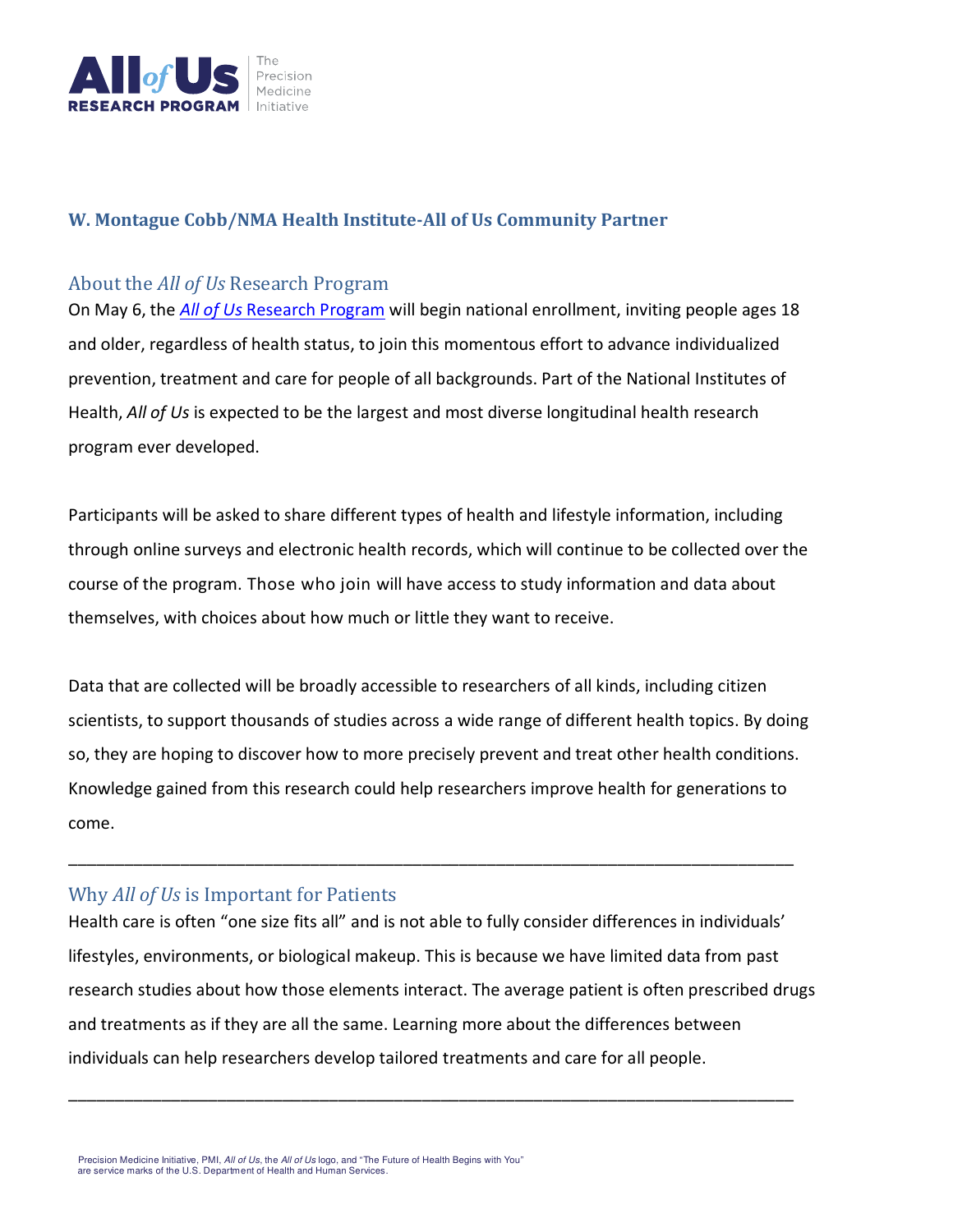

#### **W. Montague Cobb/NMA Health Institute-All of Us Community Partner**

#### About the *All of Us* Research Program

On May 6, the *All of Us* Research Program will begin national enrollment, inviting people ages 18 and older, regardless of health status, to join this momentous effort to advance individualized prevention, treatment and care for people of all backgrounds. Part of the National Institutes of Health, *All of Us* is expected to be the largest and most diverse longitudinal health research program ever developed.

Participants will be asked to share different types of health and lifestyle information, including through online surveys and electronic health records, which will continue to be collected over the course of the program. Those who join will have access to study information and data about themselves, with choices about how much or little they want to receive.

Data that are collected will be broadly accessible to researchers of all kinds, including citizen scientists, to support thousands of studies across a wide range of different health topics. By doing so, they are hoping to discover how to more precisely prevent and treat other health conditions. Knowledge gained from this research could help researchers improve health for generations to come.

\_\_\_\_\_\_\_\_\_\_\_\_\_\_\_\_\_\_\_\_\_\_\_\_\_\_\_\_\_\_\_\_\_\_\_\_\_\_\_\_\_\_\_\_\_\_\_\_\_\_\_\_\_\_\_\_\_\_\_\_\_\_\_\_\_\_\_\_\_\_\_\_\_\_\_\_\_\_

### Why *All of Us* is Important for Patients

Health care is often "one size fits all" and is not able to fully consider differences in individuals' lifestyles, environments, or biological makeup. This is because we have limited data from past research studies about how those elements interact. The average patient is often prescribed drugs and treatments as if they are all the same. Learning more about the differences between individuals can help researchers develop tailored treatments and care for all people.

\_\_\_\_\_\_\_\_\_\_\_\_\_\_\_\_\_\_\_\_\_\_\_\_\_\_\_\_\_\_\_\_\_\_\_\_\_\_\_\_\_\_\_\_\_\_\_\_\_\_\_\_\_\_\_\_\_\_\_\_\_\_\_\_\_\_\_\_\_\_\_\_\_\_\_\_\_\_